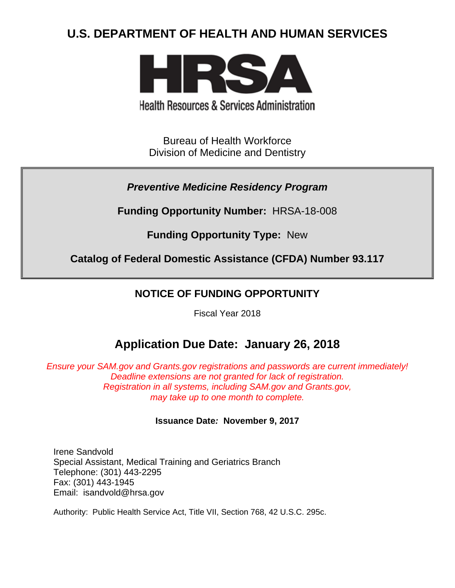# **U.S. DEPARTMENT OF HEALTH AND HUMAN SERVICES**



**Health Resources & Services Administration** 

Bureau of Health Workforce Division of Medicine and Dentistry

*Preventive Medicine Residency Program*

**Funding Opportunity Number:** HRSA-18-008

**Funding Opportunity Type:** New

**Catalog of Federal Domestic Assistance (CFDA) Number 93.117**

## **NOTICE OF FUNDING OPPORTUNITY**

Fiscal Year 2018

# **Application Due Date: January 26, 2018**

*Ensure your SAM.gov and Grants.gov registrations and passwords are current immediately! Deadline extensions are not granted for lack of registration. Registration in all systems, including SAM.gov and Grants.gov, may take up to one month to complete.*

## **Issuance Date***:* **November 9, 2017**

Irene Sandvold Special Assistant, Medical Training and Geriatrics Branch Telephone: (301) 443-2295 Fax: (301) 443-1945 Email: isandvold@hrsa.gov

Authority: Public Health Service Act, Title VII, Section 768, 42 U.S.C. 295c.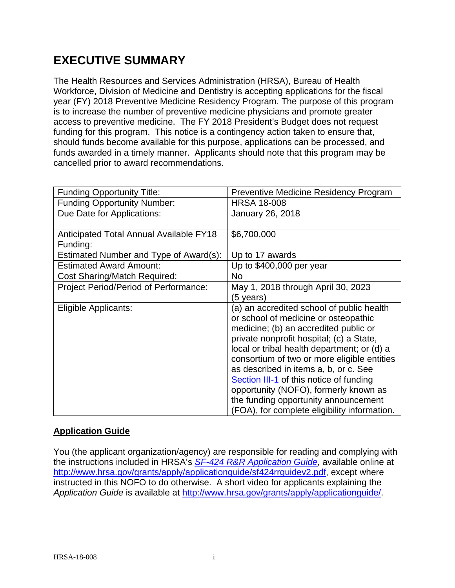# **EXECUTIVE SUMMARY**

The Health Resources and Services Administration (HRSA), Bureau of Health Workforce, Division of Medicine and Dentistry is accepting applications for the fiscal year (FY) 2018 Preventive Medicine Residency Program. The purpose of this program is to increase the number of preventive medicine physicians and promote greater access to preventive medicine. The FY 2018 President's Budget does not request funding for this program. This notice is a contingency action taken to ensure that, should funds become available for this purpose, applications can be processed, and funds awarded in a timely manner. Applicants should note that this program may be cancelled prior to award recommendations.

| <b>Funding Opportunity Title:</b>              | <b>Preventive Medicine Residency Program</b>   |
|------------------------------------------------|------------------------------------------------|
| <b>Funding Opportunity Number:</b>             | <b>HRSA 18-008</b>                             |
| Due Date for Applications:                     | January 26, 2018                               |
|                                                |                                                |
| <b>Anticipated Total Annual Available FY18</b> | \$6,700,000                                    |
| Funding:                                       |                                                |
| Estimated Number and Type of Award(s):         | Up to 17 awards                                |
| <b>Estimated Award Amount:</b>                 | Up to \$400,000 per year                       |
| <b>Cost Sharing/Match Required:</b>            | No                                             |
| Project Period/Period of Performance:          | May 1, 2018 through April 30, 2023             |
|                                                | (5 years)                                      |
| Eligible Applicants:                           | (a) an accredited school of public health      |
|                                                | or school of medicine or osteopathic           |
|                                                | medicine; (b) an accredited public or          |
|                                                | private nonprofit hospital; (c) a State,       |
|                                                | local or tribal health department; or (d) a    |
|                                                | consortium of two or more eligible entities    |
|                                                | as described in items a, b, or c. See          |
|                                                | <b>Section III-1</b> of this notice of funding |
|                                                | opportunity (NOFO), formerly known as          |
|                                                | the funding opportunity announcement           |
|                                                | (FOA), for complete eligibility information.   |

### **Application Guide**

You (the applicant organization/agency) are responsible for reading and complying with the instructions included in HRSA's *SF-424 [R&R Application Guide,](http://www.hrsa.gov/grants/apply/applicationguide/sf424rrguidev2.pdf)* available online at [http://www.hrsa.gov/grants/apply/applicationguide/sf424rrguidev2.pdf,](http://www.hrsa.gov/grants/apply/applicationguide/sf424rrguidev2.pdf) except where instructed in this NOFO to do otherwise. A short video for applicants explaining the *Application Guide* is available at [http://www.hrsa.gov/grants/apply/applicationguide/.](http://www.hrsa.gov/grants/apply/applicationguide/)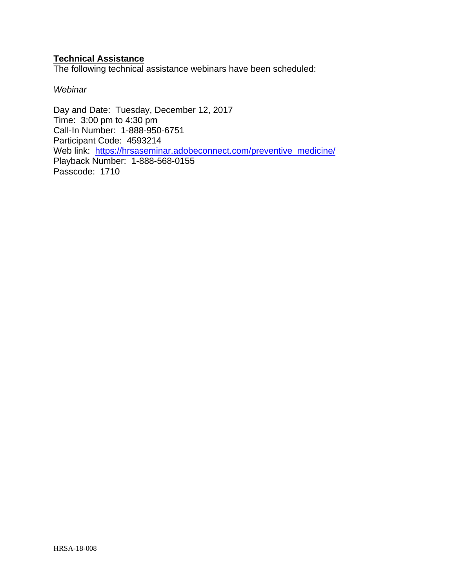### **Technical Assistance**

The following technical assistance webinars have been scheduled:

*Webinar*

Day and Date: Tuesday, December 12, 2017 Time: 3:00 pm to 4:30 pm Call-In Number: 1-888-950-6751 Participant Code: 4593214 Web link: [https://hrsaseminar.adobeconnect.com/preventive\\_medicine/](https://hrsaseminar.adobeconnect.com/preventive_medicine/) Playback Number: 1-888-568-0155 Passcode: 1710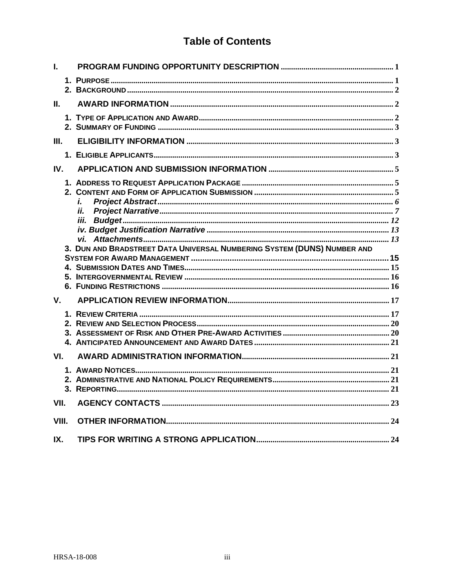## **Table of Contents**

| L.          |                                                                         |  |
|-------------|-------------------------------------------------------------------------|--|
|             |                                                                         |  |
| II.         |                                                                         |  |
|             |                                                                         |  |
| III.        |                                                                         |  |
|             |                                                                         |  |
| IV.         |                                                                         |  |
|             | i.<br>ii.                                                               |  |
|             |                                                                         |  |
|             |                                                                         |  |
|             | 3. DUN AND BRADSTREET DATA UNIVERSAL NUMBERING SYSTEM (DUNS) NUMBER AND |  |
|             |                                                                         |  |
|             |                                                                         |  |
|             |                                                                         |  |
| $V_{\cdot}$ |                                                                         |  |
|             |                                                                         |  |
|             |                                                                         |  |
|             |                                                                         |  |
| VI.         |                                                                         |  |
|             |                                                                         |  |
|             |                                                                         |  |
|             |                                                                         |  |
| VII.        |                                                                         |  |
| VIII.       |                                                                         |  |
| IX.         |                                                                         |  |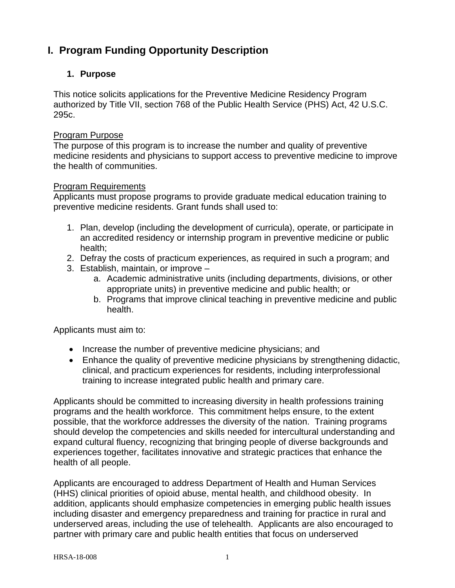## <span id="page-4-0"></span>**I. Program Funding Opportunity Description**

## <span id="page-4-1"></span>**1. Purpose**

This notice solicits applications for the Preventive Medicine Residency Program authorized by Title VII, section 768 of the Public Health Service (PHS) Act, 42 U.S.C. 295c.

#### Program Purpose

The purpose of this program is to increase the number and quality of preventive medicine residents and physicians to support access to preventive medicine to improve the health of communities.

#### Program Requirements

Applicants must propose programs to provide graduate medical education training to preventive medicine residents. Grant funds shall used to:

- 1. Plan, develop (including the development of curricula), operate, or participate in an accredited residency or internship program in preventive medicine or public health;
- 2. Defray the costs of practicum experiences, as required in such a program; and
- 3. Establish, maintain, or improve
	- a. Academic administrative units (including departments, divisions, or other appropriate units) in preventive medicine and public health; or
	- b. Programs that improve clinical teaching in preventive medicine and public health.

Applicants must aim to:

- Increase the number of preventive medicine physicians; and
- Enhance the quality of preventive medicine physicians by strengthening didactic, clinical, and practicum experiences for residents, including interprofessional training to increase integrated public health and primary care.

Applicants should be committed to increasing diversity in health professions training programs and the health workforce. This commitment helps ensure, to the extent possible, that the workforce addresses the diversity of the nation. Training programs should develop the competencies and skills needed for intercultural understanding and expand cultural fluency, recognizing that bringing people of diverse backgrounds and experiences together, facilitates innovative and strategic practices that enhance the health of all people.

Applicants are encouraged to address Department of Health and Human Services (HHS) clinical priorities of opioid abuse, mental health, and childhood obesity. In addition, applicants should emphasize competencies in emerging public health issues including disaster and emergency preparedness and training for practice in rural and underserved areas, including the use of telehealth. Applicants are also encouraged to partner with primary care and public health entities that focus on underserved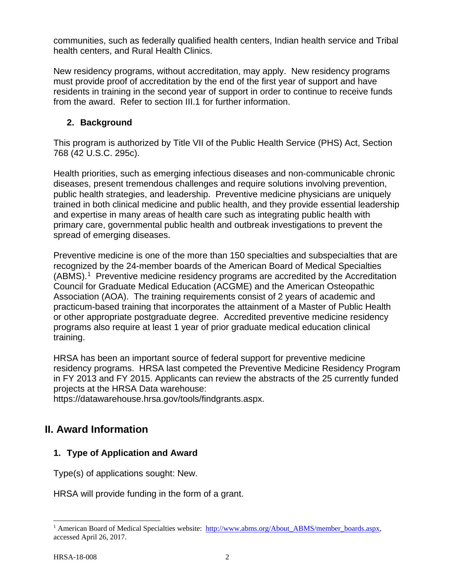communities, such as federally qualified health centers, Indian health service and Tribal health centers, and Rural Health Clinics.

New residency programs, without accreditation, may apply. New residency programs must provide proof of accreditation by the end of the first year of support and have residents in training in the second year of support in order to continue to receive funds from the award. Refer to section III.1 for further information.

## <span id="page-5-0"></span>**2. Background**

This program is authorized by Title VII of the Public Health Service (PHS) Act, Section 768 (42 U.S.C. 295c).

Health priorities, such as emerging infectious diseases and non-communicable chronic diseases, present tremendous challenges and require solutions involving prevention, public health strategies, and leadership. Preventive medicine physicians are uniquely trained in both clinical medicine and public health, and they provide essential leadership and expertise in many areas of health care such as integrating public health with primary care, governmental public health and outbreak investigations to prevent the spread of emerging diseases.

Preventive medicine is one of the more than 150 specialties and subspecialties that are recognized by the 24-member boards of the American Board of Medical Specialties (ABMS).[1](#page-5-3) Preventive medicine residency programs are accredited by the Accreditation Council for Graduate Medical Education (ACGME) and the American Osteopathic Association (AOA). The training requirements consist of 2 years of academic and practicum-based training that incorporates the attainment of a Master of Public Health or other appropriate postgraduate degree. Accredited preventive medicine residency programs also require at least 1 year of prior graduate medical education clinical training.

HRSA has been an important source of federal support for preventive medicine residency programs. HRSA last competed the Preventive Medicine Residency Program in FY 2013 and FY 2015. Applicants can review the abstracts of the 25 currently funded projects at the HRSA Data warehouse:

https://datawarehouse.hrsa.gov/tools/findgrants.aspx.

## <span id="page-5-1"></span>**II. Award Information**

## <span id="page-5-2"></span>**1. Type of Application and Award**

Type(s) of applications sought: New.

HRSA will provide funding in the form of a grant.

<span id="page-5-3"></span><sup>&</sup>lt;sup>1</sup> American Board of Medical Specialties website: [http://www.abms.org/About\\_ABMS/member\\_boards.aspx,](http://www.abms.org/About_ABMS/member_boards.aspx) accessed April 26, 2017.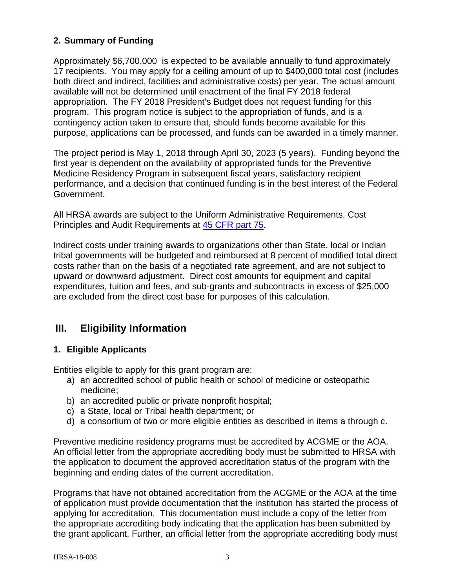### <span id="page-6-1"></span>**2. Summary of Funding**

Approximately \$6,700,000 is expected to be available annually to fund approximately 17 recipients. You may apply for a ceiling amount of up to \$400,000 total cost (includes both direct and indirect, facilities and administrative costs) per year. The actual amount available will not be determined until enactment of the final FY 2018 federal appropriation. The FY 2018 President's Budget does not request funding for this program. This program notice is subject to the appropriation of funds, and is a contingency action taken to ensure that, should funds become available for this purpose, applications can be processed, and funds can be awarded in a timely manner.

The project period is May 1, 2018 through April 30, 2023 (5 years). Funding beyond the first year is dependent on the availability of appropriated funds for the Preventive Medicine Residency Program in subsequent fiscal years, satisfactory recipient performance, and a decision that continued funding is in the best interest of the Federal Government.

All HRSA awards are subject to the Uniform Administrative Requirements, Cost Principles and Audit Requirements at [45 CFR part 75.](http://www.ecfr.gov/cgi-bin/retrieveECFR?gp=1&SID=4d52364ec83fab994c665943dadf9cf7&ty=HTML&h=L&r=PART&n=pt45.1.75)

Indirect costs under training awards to organizations other than State, local or Indian tribal governments will be budgeted and reimbursed at 8 percent of modified total direct costs rather than on the basis of a negotiated rate agreement, and are not subject to upward or downward adjustment. Direct cost amounts for equipment and capital expenditures, tuition and fees, and sub-grants and subcontracts in excess of \$25,000 are excluded from the direct cost base for purposes of this calculation.

## <span id="page-6-2"></span>**III. Eligibility Information**

#### <span id="page-6-0"></span>**1. Eligible Applicants**

Entities eligible to apply for this grant program are:

- a) an accredited school of public health or school of medicine or osteopathic medicine;
- b) an accredited public or private nonprofit hospital;
- c) a State, local or Tribal health department; or
- d) a consortium of two or more eligible entities as described in items a through c.

Preventive medicine residency programs must be accredited by ACGME or the AOA. An official letter from the appropriate accrediting body must be submitted to HRSA with the application to document the approved accreditation status of the program with the beginning and ending dates of the current accreditation.

Programs that have not obtained accreditation from the ACGME or the AOA at the time of application must provide documentation that the institution has started the process of applying for accreditation. This documentation must include a copy of the letter from the appropriate accrediting body indicating that the application has been submitted by the grant applicant. Further, an official letter from the appropriate accrediting body must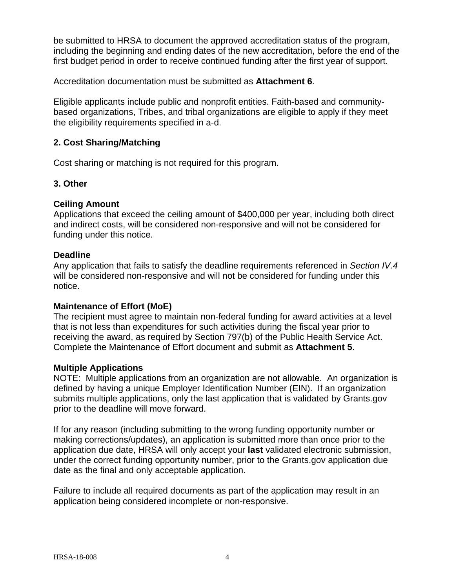be submitted to HRSA to document the approved accreditation status of the program, including the beginning and ending dates of the new accreditation, before the end of the first budget period in order to receive continued funding after the first year of support.

Accreditation documentation must be submitted as **Attachment 6**.

Eligible applicants include public and nonprofit entities. Faith-based and communitybased organizations, Tribes, and tribal organizations are eligible to apply if they meet the eligibility requirements specified in a-d.

#### **2. Cost Sharing/Matching**

Cost sharing or matching is not required for this program.

#### **3. Other**

#### **Ceiling Amount**

Applications that exceed the ceiling amount of \$400,000 per year, including both direct and indirect costs, will be considered non-responsive and will not be considered for funding under this notice.

#### **Deadline**

Any application that fails to satisfy the deadline requirements referenced in *Section IV.4* will be considered non-responsive and will not be considered for funding under this notice.

#### **Maintenance of Effort (MoE)**

The recipient must agree to maintain non-federal funding for award activities at a level that is not less than expenditures for such activities during the fiscal year prior to receiving the award, as required by Section 797(b) of the Public Health Service Act. Complete the Maintenance of Effort document and submit as **Attachment 5**.

#### **Multiple Applications**

NOTE: Multiple applications from an organization are not allowable. An organization is defined by having a unique Employer Identification Number (EIN). If an organization submits multiple applications, only the last application that is validated by Grants.gov prior to the deadline will move forward.

If for any reason (including submitting to the wrong funding opportunity number or making corrections/updates), an application is submitted more than once prior to the application due date, HRSA will only accept your **last** validated electronic submission, under the correct funding opportunity number, prior to the Grants.gov application due date as the final and only acceptable application.

Failure to include all required documents as part of the application may result in an application being considered incomplete or non-responsive.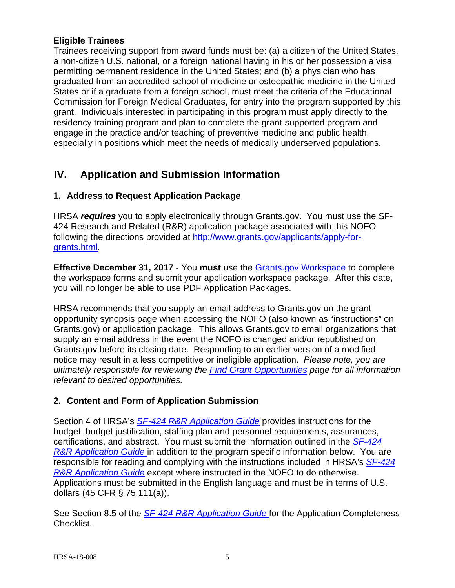#### **Eligible Trainees**

Trainees receiving support from award funds must be: (a) a citizen of the United States, a non-citizen U.S. national, or a foreign national having in his or her possession a visa permitting permanent residence in the United States; and (b) a physician who has graduated from an accredited school of medicine or osteopathic medicine in the United States or if a graduate from a foreign school, must meet the criteria of the Educational Commission for Foreign Medical Graduates, for entry into the program supported by this grant. Individuals interested in participating in this program must apply directly to the residency training program and plan to complete the grant-supported program and engage in the practice and/or teaching of preventive medicine and public health, especially in positions which meet the needs of medically underserved populations.

## <span id="page-8-0"></span>**IV. Application and Submission Information**

## <span id="page-8-1"></span>**1. Address to Request Application Package**

HRSA *requires* you to apply electronically through Grants.gov. You must use the SF-424 Research and Related (R&R) application package associated with this NOFO following the directions provided at [http://www.grants.gov/applicants/apply-for](http://www.grants.gov/applicants/apply-for-grants.html)[grants.html.](http://www.grants.gov/applicants/apply-for-grants.html)

**Effective December 31, 2017** - You **must** use the [Grants.gov Workspace](http://www.grants.gov/web/grants/applicants/workspace-overview.html) to complete the workspace forms and submit your application workspace package. After this date, you will no longer be able to use PDF Application Packages.

HRSA recommends that you supply an email address to Grants.gov on the grant opportunity synopsis page when accessing the NOFO (also known as "instructions" on Grants.gov) or application package. This allows Grants.gov to email organizations that supply an email address in the event the NOFO is changed and/or republished on Grants.gov before its closing date. Responding to an earlier version of a modified notice may result in a less competitive or ineligible application. *Please note, you are ultimately responsible for reviewing the [Find Grant Opportunities](http://www.grants.gov/search-grants.html) page for all information relevant to desired opportunities.*

### <span id="page-8-2"></span>**2. Content and Form of Application Submission**

Section 4 of HRSA's *SF-424 R&R [Application Guide](http://www.hrsa.gov/grants/apply/applicationguide/sf424rrguidev2.pdf)* provides instructions for the budget, budget justification, staffing plan and personnel requirements, assurances, certifications, and abstract. You must submit the information outlined in the *[SF-424](http://www.hrsa.gov/grants/apply/applicationguide/sf424rrguidev2.pdf) R&R [Application Guide](http://www.hrsa.gov/grants/apply/applicationguide/sf424rrguidev2.pdf)* in addition to the program specific information below. You are responsible for reading and complying with the instructions included in HRSA's *[SF-424](http://www.hrsa.gov/grants/apply/applicationguide/sf424rrguidev2.pdf) R&R [Application Guide](http://www.hrsa.gov/grants/apply/applicationguide/sf424rrguidev2.pdf)* except where instructed in the NOFO to do otherwise. Applications must be submitted in the English language and must be in terms of U.S. dollars (45 CFR § 75.111(a)).

See Section 8.5 of the *SF-424 R&R [Application Guide](http://www.hrsa.gov/grants/apply/applicationguide/sf424rrguidev2.pdf)* for the Application Completeness Checklist.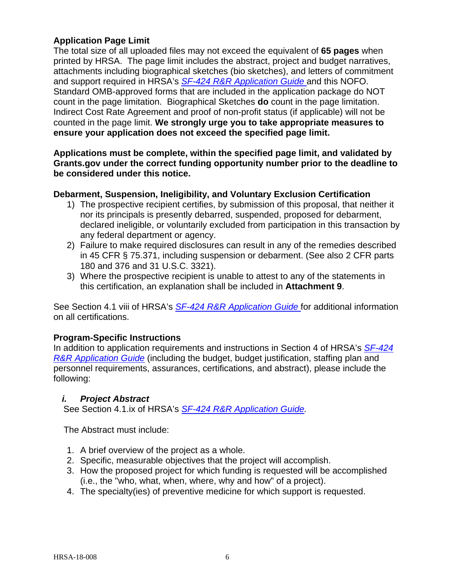#### **Application Page Limit**

The total size of all uploaded files may not exceed the equivalent of **65 pages** when printed by HRSA. The page limit includes the abstract, project and budget narratives, attachments including biographical sketches (bio sketches), and letters of commitment and support required in HRSA's *SF-424 R&R [Application Guide](http://www.hrsa.gov/grants/apply/applicationguide/sf424rrguidev2.pdf)* and this NOFO. Standard OMB-approved forms that are included in the application package do NOT count in the page limitation. Biographical Sketches **do** count in the page limitation. Indirect Cost Rate Agreement and proof of non-profit status (if applicable) will not be counted in the page limit. **We strongly urge you to take appropriate measures to ensure your application does not exceed the specified page limit.**

#### **Applications must be complete, within the specified page limit, and validated by Grants.gov under the correct funding opportunity number prior to the deadline to be considered under this notice.**

#### **Debarment, Suspension, Ineligibility, and Voluntary Exclusion Certification**

- 1) The prospective recipient certifies, by submission of this proposal, that neither it nor its principals is presently debarred, suspended, proposed for debarment, declared ineligible, or voluntarily excluded from participation in this transaction by any federal department or agency.
- 2) Failure to make required disclosures can result in any of the remedies described in 45 CFR § 75.371, including suspension or debarment. (See also 2 CFR parts 180 and 376 and 31 U.S.C. 3321).
- 3) Where the prospective recipient is unable to attest to any of the statements in this certification, an explanation shall be included in **Attachment 9**.

See Section 4.1 viii of HRSA's *SF-424 R&R [Application Guide](http://www.hrsa.gov/grants/apply/applicationguide/sf424rrguidev2.pdf)* for additional information on all certifications.

#### **Program-Specific Instructions**

In addition to application requirements and instructions in Section 4 of HRSA's *[SF-424](http://www.hrsa.gov/grants/apply/applicationguide/sf424rrguidev2.pdf) R&R [Application Guide](http://www.hrsa.gov/grants/apply/applicationguide/sf424rrguidev2.pdf)* (including the budget, budget justification, staffing plan and personnel requirements, assurances, certifications, and abstract), please include the following:

#### <span id="page-9-0"></span>*i. Project Abstract*

See Section 4.1.ix of HRSA's *SF-424 R&R [Application Guide.](http://www.hrsa.gov/grants/apply/applicationguide/sf424rrguidev2.pdf)*

The Abstract must include:

- 1. A brief overview of the project as a whole.
- 2. Specific, measurable objectives that the project will accomplish.
- 3. How the proposed project for which funding is requested will be accomplished (i.e., the "who, what, when, where, why and how" of a project).
- 4. The specialty(ies) of preventive medicine for which support is requested.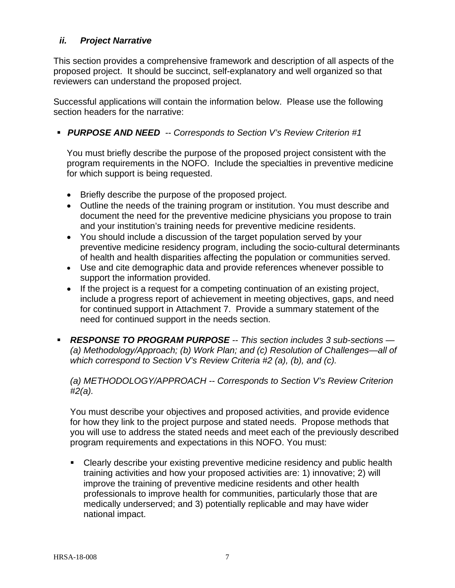#### <span id="page-10-0"></span>*ii. Project Narrative*

This section provides a comprehensive framework and description of all aspects of the proposed project. It should be succinct, self-explanatory and well organized so that reviewers can understand the proposed project.

Successful applications will contain the information below. Please use the following section headers for the narrative:

*PURPOSE AND NEED -- Corresponds to Section V's Review Criterion #1*

You must briefly describe the purpose of the proposed project consistent with the program requirements in the NOFO. Include the specialties in preventive medicine for which support is being requested.

- Briefly describe the purpose of the proposed project.
- Outline the needs of the training program or institution. You must describe and document the need for the preventive medicine physicians you propose to train and your institution's training needs for preventive medicine residents.
- You should include a discussion of the target population served by your preventive medicine residency program, including the socio-cultural determinants of health and health disparities affecting the population or communities served.
- Use and cite demographic data and provide references whenever possible to support the information provided.
- If the project is a request for a competing continuation of an existing project, include a progress report of achievement in meeting objectives, gaps, and need for continued support in Attachment 7. Provide a summary statement of the need for continued support in the needs section.
- *RESPONSE TO PROGRAM PURPOSE -- This section includes 3 sub-sections — (a) Methodology/Approach; (b) Work Plan; and (c) Resolution of Challenges—all of which correspond to Section V's Review Criteria #2 (a), (b), and (c).*

*(a) METHODOLOGY/APPROACH -- Corresponds to Section V's Review Criterion #2(a).* 

You must describe your objectives and proposed activities, and provide evidence for how they link to the project purpose and stated needs. Propose methods that you will use to address the stated needs and meet each of the previously described program requirements and expectations in this NOFO. You must:

 Clearly describe your existing preventive medicine residency and public health training activities and how your proposed activities are: 1) innovative; 2) will improve the training of preventive medicine residents and other health professionals to improve health for communities, particularly those that are medically underserved; and 3) potentially replicable and may have wider national impact.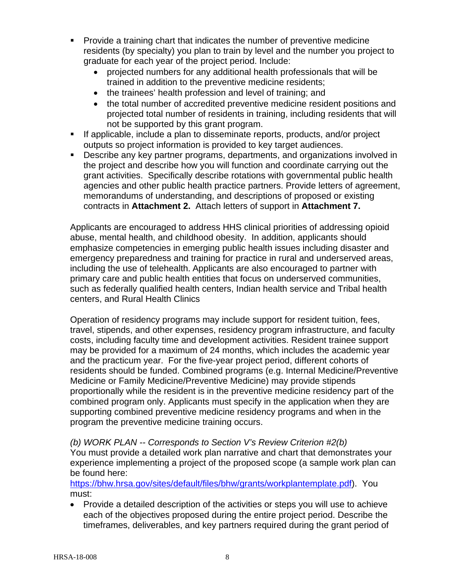- Provide a training chart that indicates the number of preventive medicine residents (by specialty) you plan to train by level and the number you project to graduate for each year of the project period. Include:
	- projected numbers for any additional health professionals that will be trained in addition to the preventive medicine residents;
	- the trainees' health profession and level of training; and
	- the total number of accredited preventive medicine resident positions and projected total number of residents in training, including residents that will not be supported by this grant program.
- If applicable, include a plan to disseminate reports, products, and/or project outputs so project information is provided to key target audiences.
- Describe any key partner programs, departments, and organizations involved in the project and describe how you will function and coordinate carrying out the grant activities. Specifically describe rotations with governmental public health agencies and other public health practice partners. Provide letters of agreement, memorandums of understanding, and descriptions of proposed or existing contracts in **Attachment 2.** Attach letters of support in **Attachment 7.**

Applicants are encouraged to address HHS clinical priorities of addressing opioid abuse, mental health, and childhood obesity. In addition, applicants should emphasize competencies in emerging public health issues including disaster and emergency preparedness and training for practice in rural and underserved areas, including the use of telehealth. Applicants are also encouraged to partner with primary care and public health entities that focus on underserved communities, such as federally qualified health centers, Indian health service and Tribal health centers, and Rural Health Clinics

Operation of residency programs may include support for resident tuition, fees, travel, stipends, and other expenses, residency program infrastructure, and faculty costs, including faculty time and development activities. Resident trainee support may be provided for a maximum of 24 months, which includes the academic year and the practicum year. For the five-year project period, different cohorts of residents should be funded. Combined programs (e.g. Internal Medicine/Preventive Medicine or Family Medicine/Preventive Medicine) may provide stipends proportionally while the resident is in the preventive medicine residency part of the combined program only. Applicants must specify in the application when they are supporting combined preventive medicine residency programs and when in the program the preventive medicine training occurs.

*(b) WORK PLAN -- Corresponds to Section V's Review Criterion #2(b)*

You must provide a detailed work plan narrative and chart that demonstrates your experience implementing a project of the proposed scope (a sample work plan can be found here:

[https://bhw.hrsa.gov/sites/default/files/bhw/grants/workplantemplate.pdf\)](https://bhw.hrsa.gov/sites/default/files/bhw/grants/workplantemplate.pdf). You must:

• Provide a detailed description of the activities or steps you will use to achieve each of the objectives proposed during the entire project period. Describe the timeframes, deliverables, and key partners required during the grant period of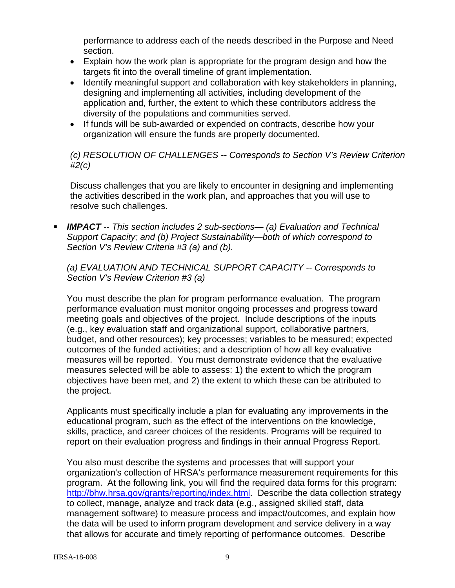performance to address each of the needs described in the Purpose and Need section.

- Explain how the work plan is appropriate for the program design and how the targets fit into the overall timeline of grant implementation.
- Identify meaningful support and collaboration with key stakeholders in planning, designing and implementing all activities, including development of the application and, further, the extent to which these contributors address the diversity of the populations and communities served.
- If funds will be sub-awarded or expended on contracts, describe how your organization will ensure the funds are properly documented.

*(c) RESOLUTION OF CHALLENGES -- Corresponds to Section V's Review Criterion #2(c)*

Discuss challenges that you are likely to encounter in designing and implementing the activities described in the work plan, and approaches that you will use to resolve such challenges.

 *IMPACT -- This section includes 2 sub-sections— (a) Evaluation and Technical Support Capacity; and (b) Project Sustainability—both of which correspond to Section V's Review Criteria #3 (a) and (b).*

*(a) EVALUATION AND TECHNICAL SUPPORT CAPACITY -- Corresponds to Section V's Review Criterion #3 (a)*

You must describe the plan for program performance evaluation. The program performance evaluation must monitor ongoing processes and progress toward meeting goals and objectives of the project. Include descriptions of the inputs (e.g., key evaluation staff and organizational support, collaborative partners, budget, and other resources); key processes; variables to be measured; expected outcomes of the funded activities; and a description of how all key evaluative measures will be reported. You must demonstrate evidence that the evaluative measures selected will be able to assess: 1) the extent to which the program objectives have been met, and 2) the extent to which these can be attributed to the project.

Applicants must specifically include a plan for evaluating any improvements in the educational program, such as the effect of the interventions on the knowledge, skills, practice, and career choices of the residents. Programs will be required to report on their evaluation progress and findings in their annual Progress Report.

You also must describe the systems and processes that will support your organization's collection of HRSA's performance measurement requirements for this program. At the following link, you will find the required data forms for this program: [http://bhw.hrsa.gov/grants/reporting/index.html.](http://bhw.hrsa.gov/grants/reporting/index.html) Describe the data collection strategy to collect, manage, analyze and track data (e.g., assigned skilled staff, data management software) to measure process and impact/outcomes, and explain how the data will be used to inform program development and service delivery in a way that allows for accurate and timely reporting of performance outcomes. Describe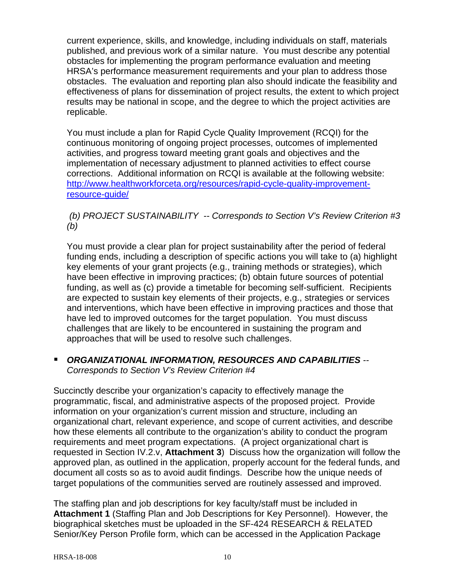current experience, skills, and knowledge, including individuals on staff, materials published, and previous work of a similar nature. You must describe any potential obstacles for implementing the program performance evaluation and meeting HRSA's performance measurement requirements and your plan to address those obstacles. The evaluation and reporting plan also should indicate the feasibility and effectiveness of plans for dissemination of project results, the extent to which project results may be national in scope, and the degree to which the project activities are replicable.

You must include a plan for Rapid Cycle Quality Improvement (RCQI) for the continuous monitoring of ongoing project processes, outcomes of implemented activities, and progress toward meeting grant goals and objectives and the implementation of necessary adjustment to planned activities to effect course corrections. Additional information on RCQI is available at the following website: [http://www.healthworkforceta.org/resources/rapid-cycle-quality-improvement](http://www.healthworkforceta.org/resources/rapid-cycle-quality-improvement-resource-guide/)[resource-guide/](http://www.healthworkforceta.org/resources/rapid-cycle-quality-improvement-resource-guide/)

#### *(b) PROJECT SUSTAINABILITY -- Corresponds to Section V's Review Criterion #3 (b)*

You must provide a clear plan for project sustainability after the period of federal funding ends, including a description of specific actions you will take to (a) highlight key elements of your grant projects (e.g., training methods or strategies), which have been effective in improving practices; (b) obtain future sources of potential funding, as well as (c) provide a timetable for becoming self-sufficient. Recipients are expected to sustain key elements of their projects, e.g., strategies or services and interventions, which have been effective in improving practices and those that have led to improved outcomes for the target population. You must discuss challenges that are likely to be encountered in sustaining the program and approaches that will be used to resolve such challenges.

### *ORGANIZATIONAL INFORMATION, RESOURCES AND CAPABILITIES -- Corresponds to Section V's Review Criterion #4*

Succinctly describe your organization's capacity to effectively manage the programmatic, fiscal, and administrative aspects of the proposed project. Provide information on your organization's current mission and structure, including an organizational chart, relevant experience, and scope of current activities, and describe how these elements all contribute to the organization's ability to conduct the program requirements and meet program expectations. (A project organizational chart is requested in Section IV.2.v, **Attachment 3**) Discuss how the organization will follow the approved plan, as outlined in the application, properly account for the federal funds, and document all costs so as to avoid audit findings. Describe how the unique needs of target populations of the communities served are routinely assessed and improved.

The staffing plan and job descriptions for key faculty/staff must be included in **Attachment 1** (Staffing Plan and Job Descriptions for Key Personnel). However, the biographical sketches must be uploaded in the SF-424 RESEARCH & RELATED Senior/Key Person Profile form, which can be accessed in the Application Package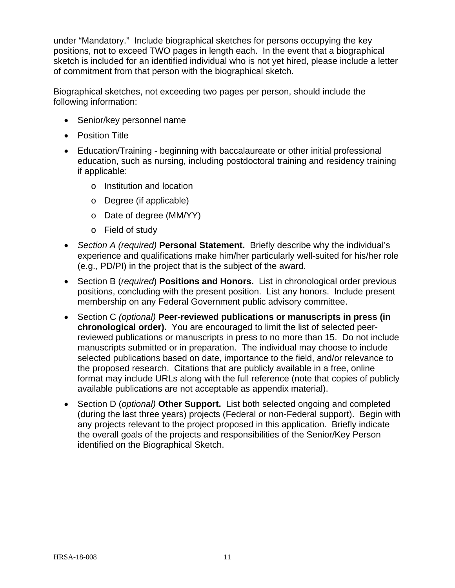under "Mandatory." Include biographical sketches for persons occupying the key positions, not to exceed TWO pages in length each. In the event that a biographical sketch is included for an identified individual who is not yet hired, please include a letter of commitment from that person with the biographical sketch.

Biographical sketches, not exceeding two pages per person, should include the following information:

- Senior/key personnel name
- Position Title
- Education/Training beginning with baccalaureate or other initial professional education, such as nursing, including postdoctoral training and residency training if applicable:
	- o Institution and location
	- o Degree (if applicable)
	- o Date of degree (MM/YY)
	- o Field of study
- *Section A (required)* **Personal Statement.** Briefly describe why the individual's experience and qualifications make him/her particularly well-suited for his/her role (e.g., PD/PI) in the project that is the subject of the award.
- Section B (*required*) **Positions and Honors.** List in chronological order previous positions, concluding with the present position. List any honors. Include present membership on any Federal Government public advisory committee.
- Section C *(optional)* **Peer-reviewed publications or manuscripts in press (in chronological order).** You are encouraged to limit the list of selected peerreviewed publications or manuscripts in press to no more than 15. Do not include manuscripts submitted or in preparation. The individual may choose to include selected publications based on date, importance to the field, and/or relevance to the proposed research. Citations that are publicly available in a free, online format may include URLs along with the full reference (note that copies of publicly available publications are not acceptable as appendix material).
- Section D (*optional)* **Other Support.** List both selected ongoing and completed (during the last three years) projects (Federal or non-Federal support). Begin with any projects relevant to the project proposed in this application. Briefly indicate the overall goals of the projects and responsibilities of the Senior/Key Person identified on the Biographical Sketch.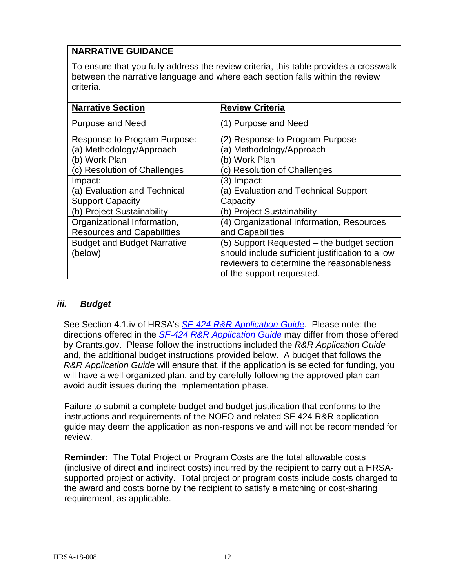## **NARRATIVE GUIDANCE**

To ensure that you fully address the review criteria, this table provides a crosswalk between the narrative language and where each section falls within the review criteria.

| <b>Narrative Section</b>           | <b>Review Criteria</b>                           |
|------------------------------------|--------------------------------------------------|
| <b>Purpose and Need</b>            | (1) Purpose and Need                             |
| Response to Program Purpose:       | (2) Response to Program Purpose                  |
| (a) Methodology/Approach           | (a) Methodology/Approach                         |
| (b) Work Plan                      | (b) Work Plan                                    |
| (c) Resolution of Challenges       | (c) Resolution of Challenges                     |
| Impact:                            | (3) Impact:                                      |
| (a) Evaluation and Technical       | (a) Evaluation and Technical Support             |
| <b>Support Capacity</b>            | Capacity                                         |
| (b) Project Sustainability         | (b) Project Sustainability                       |
| Organizational Information,        | (4) Organizational Information, Resources        |
| <b>Resources and Capabilities</b>  | and Capabilities                                 |
| <b>Budget and Budget Narrative</b> | (5) Support Requested – the budget section       |
| (below)                            | should include sufficient justification to allow |
|                                    | reviewers to determine the reasonableness        |
|                                    | of the support requested.                        |

#### <span id="page-15-0"></span>*iii. Budget*

See Section 4.1.iv of HRSA's *SF-424 R&R [Application Guide.](http://www.hrsa.gov/grants/apply/applicationguide/sf424rrguidev2.pdf)* Please note: the directions offered in the *SF-424 R&R [Application Guide](http://www.hrsa.gov/grants/apply/applicationguide/sf424rrguidev2.pdf)* may differ from those offered by Grants.gov. Please follow the instructions included the *R&R Application Guide*  and, the additional budget instructions provided below. A budget that follows the *R&R Application Guide* will ensure that, if the application is selected for funding, you will have a well-organized plan, and by carefully following the approved plan can avoid audit issues during the implementation phase.

Failure to submit a complete budget and budget justification that conforms to the instructions and requirements of the NOFO and related SF 424 R&R application guide may deem the application as non-responsive and will not be recommended for review.

**Reminder:** The Total Project or Program Costs are the total allowable costs (inclusive of direct **and** indirect costs) incurred by the recipient to carry out a HRSAsupported project or activity. Total project or program costs include costs charged to the award and costs borne by the recipient to satisfy a matching or cost-sharing requirement, as applicable.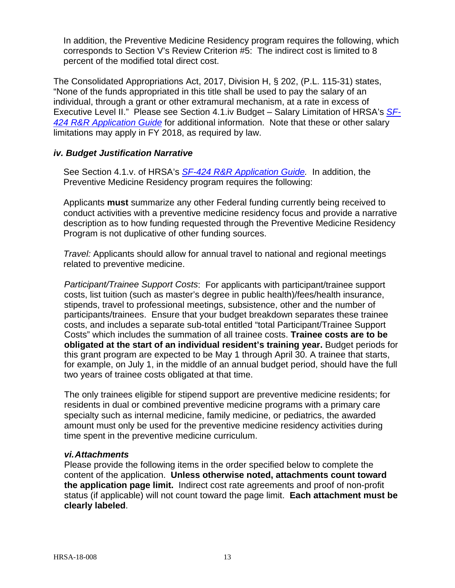In addition, the Preventive Medicine Residency program requires the following, which corresponds to Section V's Review Criterion #5: The indirect cost is limited to 8 percent of the modified total direct cost.

The Consolidated Appropriations Act, 2017, Division H, § 202, (P.L. 115-31) states, "None of the funds appropriated in this title shall be used to pay the salary of an individual, through a grant or other extramural mechanism, at a rate in excess of Executive Level II." Please see Section 4.1.iv Budget – Salary Limitation of HRSA's *[SF-](http://www.hrsa.gov/grants/apply/applicationguide/sf424rrguidev2.pdf)424 R&R [Application Guide](http://www.hrsa.gov/grants/apply/applicationguide/sf424rrguidev2.pdf)* for additional information. Note that these or other salary limitations may apply in FY 2018, as required by law.

#### <span id="page-16-0"></span>*iv. Budget Justification Narrative*

See Section 4.1.v. of HRSA's *SF-424 R&R [Application Guide.](http://www.hrsa.gov/grants/apply/applicationguide/sf424rrguidev2.pdf)* In addition, the Preventive Medicine Residency program requires the following:

Applicants **must** summarize any other Federal funding currently being received to conduct activities with a preventive medicine residency focus and provide a narrative description as to how funding requested through the Preventive Medicine Residency Program is not duplicative of other funding sources.

*Travel:* Applicants should allow for annual travel to national and regional meetings related to preventive medicine.

*Participant/Trainee Support Costs*: For applicants with participant/trainee support costs, list tuition (such as master's degree in public health)/fees/health insurance, stipends, travel to professional meetings, subsistence, other and the number of participants/trainees. Ensure that your budget breakdown separates these trainee costs, and includes a separate sub-total entitled "total Participant/Trainee Support Costs" which includes the summation of all trainee costs. **Trainee costs are to be obligated at the start of an individual resident's training year.** Budget periods for this grant program are expected to be May 1 through April 30. A trainee that starts, for example, on July 1, in the middle of an annual budget period, should have the full two years of trainee costs obligated at that time.

The only trainees eligible for stipend support are preventive medicine residents; for residents in dual or combined preventive medicine programs with a primary care specialty such as internal medicine, family medicine, or pediatrics, the awarded amount must only be used for the preventive medicine residency activities during time spent in the preventive medicine curriculum.

#### <span id="page-16-1"></span>*vi.Attachments*

Please provide the following items in the order specified below to complete the content of the application. **Unless otherwise noted, attachments count toward the application page limit.** Indirect cost rate agreements and proof of non-profit status (if applicable) will not count toward the page limit. **Each attachment must be clearly labeled**.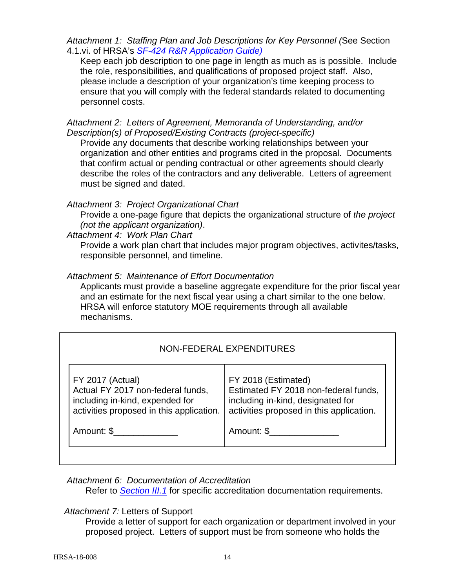*Attachment 1: Staffing Plan and Job Descriptions for Key Personnel (*See Section 4.1.vi. of HRSA's *SF-424 R&R [Application Guide\)](http://www.hrsa.gov/grants/apply/applicationguide/sf424rrguidev2.pdf)*

Keep each job description to one page in length as much as is possible. Include the role, responsibilities, and qualifications of proposed project staff. Also, please include a description of your organization's time keeping process to ensure that you will comply with the federal standards related to documenting personnel costs.

*Attachment 2: Letters of Agreement, Memoranda of Understanding, and/or Description(s) of Proposed/Existing Contracts (project-specific)* 

Provide any documents that describe working relationships between your organization and other entities and programs cited in the proposal. Documents that confirm actual or pending contractual or other agreements should clearly describe the roles of the contractors and any deliverable. Letters of agreement must be signed and dated.

#### *Attachment 3: Project Organizational Chart*

Provide a one-page figure that depicts the organizational structure of *the project (not the applicant organization)*.

#### *Attachment 4: Work Plan Chart*

Provide a work plan chart that includes major program objectives, activites/tasks, responsible personnel, and timeline.

#### *Attachment 5: Maintenance of Effort Documentation*

Applicants must provide a baseline aggregate expenditure for the prior fiscal year and an estimate for the next fiscal year using a chart similar to the one below. HRSA will enforce statutory MOE requirements through all available mechanisms.

### NON-FEDERAL EXPENDITURES

| <b>FY 2017 (Actual)</b>                  | FY 2018 (Estimated)                      |
|------------------------------------------|------------------------------------------|
| Actual FY 2017 non-federal funds,        | Estimated FY 2018 non-federal funds,     |
| including in-kind, expended for          | including in-kind, designated for        |
| activities proposed in this application. | activities proposed in this application. |
| Amount: \$                               | Amount: \$                               |

#### *Attachment 6: Documentation of Accreditation*

Refer to *[Section III.1](#page-6-0)* for specific accreditation documentation requirements.

#### *Attachment 7:* Letters of Support

Provide a letter of support for each organization or department involved in your proposed project. Letters of support must be from someone who holds the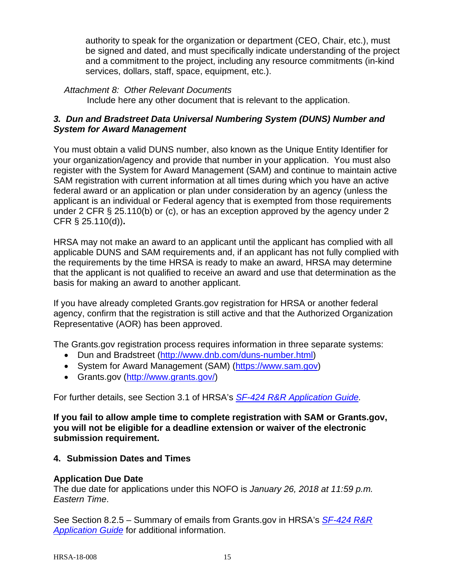authority to speak for the organization or department (CEO, Chair, etc.), must be signed and dated, and must specifically indicate understanding of the project and a commitment to the project, including any resource commitments (in-kind services, dollars, staff, space, equipment, etc.).

*Attachment 8: Other Relevant Documents*

Include here any other document that is relevant to the application.

#### <span id="page-18-0"></span>*3. Dun and Bradstreet Data Universal Numbering System (DUNS) Number and System for Award Management*

You must obtain a valid DUNS number, also known as the Unique Entity Identifier for your organization/agency and provide that number in your application. You must also register with the System for Award Management (SAM) and continue to maintain active SAM registration with current information at all times during which you have an active federal award or an application or plan under consideration by an agency (unless the applicant is an individual or Federal agency that is exempted from those requirements under 2 CFR § 25.110(b) or (c), or has an exception approved by the agency under 2 CFR § 25.110(d))**.**

HRSA may not make an award to an applicant until the applicant has complied with all applicable DUNS and SAM requirements and, if an applicant has not fully complied with the requirements by the time HRSA is ready to make an award, HRSA may determine that the applicant is not qualified to receive an award and use that determination as the basis for making an award to another applicant.

If you have already completed Grants.gov registration for HRSA or another federal agency, confirm that the registration is still active and that the Authorized Organization Representative (AOR) has been approved.

The Grants.gov registration process requires information in three separate systems:

- Dun and Bradstreet [\(http://www.dnb.com/duns-number.html\)](http://www.dnb.com/duns-number.html)
- System for Award Management (SAM) [\(https://www.sam.gov\)](https://www.sam.gov/)
- Grants.gov [\(http://www.grants.gov/\)](http://www.grants.gov/)

For further details, see Section 3.1 of HRSA's *SF-424 R&R [Application Guide.](http://www.hrsa.gov/grants/apply/applicationguide/sf424rrguidev2.pdf)*

**If you fail to allow ample time to complete registration with SAM or Grants.gov, you will not be eligible for a deadline extension or waiver of the electronic submission requirement.**

#### <span id="page-18-1"></span>**4. Submission Dates and Times**

#### **Application Due Date**

The due date for applications under this NOFO is *January 26, 2018 at 11:59 p.m. Eastern Time*.

See Section 8.2.5 – Summary of emails from Grants.gov in HRSA's *[SF-424](http://www.hrsa.gov/grants/apply/applicationguide/sf424rrguidev2.pdf) R&R [Application Guide](http://www.hrsa.gov/grants/apply/applicationguide/sf424rrguidev2.pdf)* for additional information.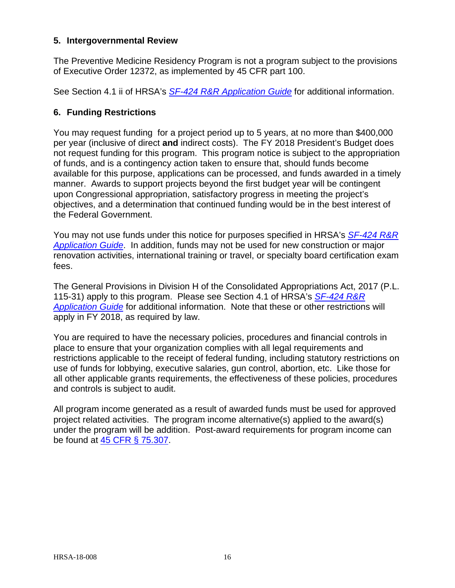#### <span id="page-19-0"></span>**5. Intergovernmental Review**

The Preventive Medicine Residency Program is not a program subject to the provisions of Executive Order 12372, as implemented by 45 CFR part 100.

See Section 4.1 ii of HRSA's *SF-424 R&R [Application Guide](http://www.hrsa.gov/grants/apply/applicationguide/sf424rrguidev2.pdf)* for additional information.

#### <span id="page-19-1"></span>**6. Funding Restrictions**

You may request funding for a project period up to 5 years, at no more than \$400,000 per year (inclusive of direct **and** indirect costs). The FY 2018 President's Budget does not request funding for this program. This program notice is subject to the appropriation of funds, and is a contingency action taken to ensure that, should funds become available for this purpose, applications can be processed, and funds awarded in a timely manner. Awards to support projects beyond the first budget year will be contingent upon Congressional appropriation, satisfactory progress in meeting the project's objectives, and a determination that continued funding would be in the best interest of the Federal Government.

You may not use funds under this notice for purposes specified in HRSA's *[SF-424](http://www.hrsa.gov/grants/apply/applicationguide/sf424rrguidev2.pdf) R&R [Application Guide](http://www.hrsa.gov/grants/apply/applicationguide/sf424rrguidev2.pdf)*. In addition, funds may not be used for new construction or major renovation activities, international training or travel, or specialty board certification exam fees.

The General Provisions in Division H of the Consolidated Appropriations Act, 2017 (P.L. 115-31) apply to this program. Please see Section 4.1 of HRSA's *[SF-424](http://www.hrsa.gov/grants/apply/applicationguide/sf424rrguidev2.pdf) R&R [Application Guide](http://www.hrsa.gov/grants/apply/applicationguide/sf424rrguidev2.pdf)* for additional information. Note that these or other restrictions will apply in FY 2018, as required by law.

You are required to have the necessary policies, procedures and financial controls in place to ensure that your organization complies with all legal requirements and restrictions applicable to the receipt of federal funding, including statutory restrictions on use of funds for lobbying, executive salaries, gun control, abortion, etc. Like those for all other applicable grants requirements, the effectiveness of these policies, procedures and controls is subject to audit.

All program income generated as a result of awarded funds must be used for approved project related activities. The program income alternative(s) applied to the award(s) under the program will be addition. Post-award requirements for program income can be found at [45 CFR § 75.307.](http://www.ecfr.gov/cgi-bin/retrieveECFR?gp=1&SID=4d52364ec83fab994c665943dadf9cf7&ty=HTML&h=L&r=PART&n=pt45.1.75#se45.1.75_1307)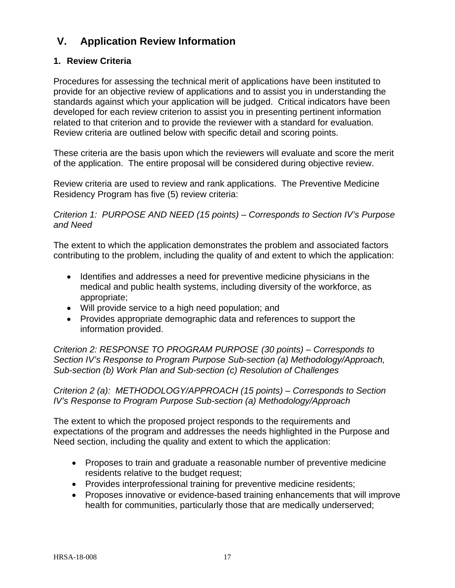## <span id="page-20-0"></span>**V. Application Review Information**

## <span id="page-20-1"></span>**1. Review Criteria**

Procedures for assessing the technical merit of applications have been instituted to provide for an objective review of applications and to assist you in understanding the standards against which your application will be judged. Critical indicators have been developed for each review criterion to assist you in presenting pertinent information related to that criterion and to provide the reviewer with a standard for evaluation. Review criteria are outlined below with specific detail and scoring points.

These criteria are the basis upon which the reviewers will evaluate and score the merit of the application. The entire proposal will be considered during objective review.

Review criteria are used to review and rank applications. The Preventive Medicine Residency Program has five (5) review criteria:

*Criterion 1: PURPOSE AND NEED (15 points) – Corresponds to Section IV's Purpose and Need* 

The extent to which the application demonstrates the problem and associated factors contributing to the problem, including the quality of and extent to which the application:

- Identifies and addresses a need for preventive medicine physicians in the medical and public health systems, including diversity of the workforce, as appropriate;
- Will provide service to a high need population; and
- Provides appropriate demographic data and references to support the information provided.

*Criterion 2: RESPONSE TO PROGRAM PURPOSE (30 points) – Corresponds to Section IV's Response to Program Purpose Sub-section (a) Methodology/Approach, Sub-section (b) Work Plan and Sub-section (c) Resolution of Challenges*

*Criterion 2 (a): METHODOLOGY/APPROACH (15 points) – Corresponds to Section IV's Response to Program Purpose Sub-section (a) Methodology/Approach*

The extent to which the proposed project responds to the requirements and expectations of the program and addresses the needs highlighted in the Purpose and Need section, including the quality and extent to which the application:

- Proposes to train and graduate a reasonable number of preventive medicine residents relative to the budget request;
- Provides interprofessional training for preventive medicine residents;
- Proposes innovative or evidence-based training enhancements that will improve health for communities, particularly those that are medically underserved;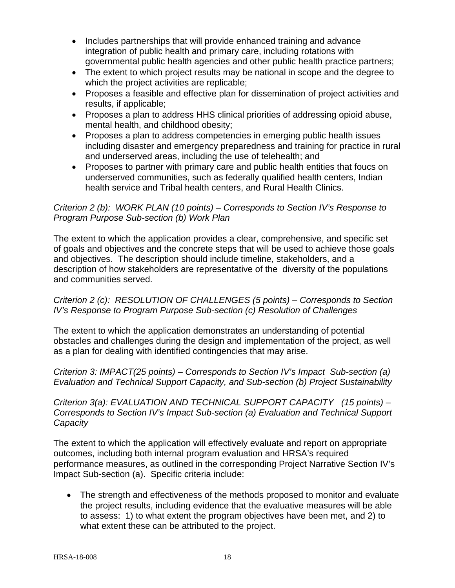- Includes partnerships that will provide enhanced training and advance integration of public health and primary care, including rotations with governmental public health agencies and other public health practice partners;
- The extent to which project results may be national in scope and the degree to which the project activities are replicable;
- Proposes a feasible and effective plan for dissemination of project activities and results, if applicable;
- Proposes a plan to address HHS clinical priorities of addressing opioid abuse, mental health, and childhood obesity;
- Proposes a plan to address competencies in emerging public health issues including disaster and emergency preparedness and training for practice in rural and underserved areas, including the use of telehealth; and
- Proposes to partner with primary care and public health entities that foucs on underserved communities, such as federally qualified health centers, Indian health service and Tribal health centers, and Rural Health Clinics.

#### *Criterion 2 (b): WORK PLAN (10 points) – Corresponds to Section IV's Response to Program Purpose Sub-section (b) Work Plan*

The extent to which the application provides a clear, comprehensive, and specific set of goals and objectives and the concrete steps that will be used to achieve those goals and objectives. The description should include timeline, stakeholders, and a description of how stakeholders are representative of the diversity of the populations and communities served.

#### *Criterion 2 (c): RESOLUTION OF CHALLENGES (5 points) – Corresponds to Section IV's Response to Program Purpose Sub-section (c) Resolution of Challenges*

The extent to which the application demonstrates an understanding of potential obstacles and challenges during the design and implementation of the project, as well as a plan for dealing with identified contingencies that may arise.

*Criterion 3: IMPACT(25 points) – Corresponds to Section IV's Impact Sub-section (a) Evaluation and Technical Support Capacity, and Sub-section (b) Project Sustainability*

*Criterion 3(a): EVALUATION AND TECHNICAL SUPPORT CAPACITY (15 points) – Corresponds to Section IV's Impact Sub-section (a) Evaluation and Technical Support Capacity* 

The extent to which the application will effectively evaluate and report on appropriate outcomes, including both internal program evaluation and HRSA's required performance measures, as outlined in the corresponding Project Narrative Section IV's Impact Sub-section (a). Specific criteria include:

• The strength and effectiveness of the methods proposed to monitor and evaluate the project results, including evidence that the evaluative measures will be able to assess: 1) to what extent the program objectives have been met, and 2) to what extent these can be attributed to the project.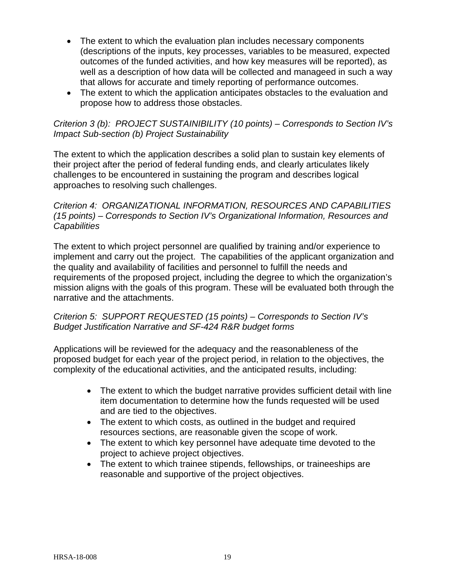- The extent to which the evaluation plan includes necessary components (descriptions of the inputs, key processes, variables to be measured, expected outcomes of the funded activities, and how key measures will be reported), as well as a description of how data will be collected and manageed in such a way that allows for accurate and timely reporting of performance outcomes.
- The extent to which the application anticipates obstacles to the evaluation and propose how to address those obstacles.

#### *Criterion 3 (b): PROJECT SUSTAINIBILITY (10 points) – Corresponds to Section IV's Impact Sub-section (b) Project Sustainability*

The extent to which the application describes a solid plan to sustain key elements of their project after the period of federal funding ends, and clearly articulates likely challenges to be encountered in sustaining the program and describes logical approaches to resolving such challenges.

#### *Criterion 4: ORGANIZATIONAL INFORMATION, RESOURCES AND CAPABILITIES (15 points) – Corresponds to Section IV's Organizational Information, Resources and Capabilities*

The extent to which project personnel are qualified by training and/or experience to implement and carry out the project. The capabilities of the applicant organization and the quality and availability of facilities and personnel to fulfill the needs and requirements of the proposed project, including the degree to which the organization's mission aligns with the goals of this program. These will be evaluated both through the narrative and the attachments.

#### *Criterion 5: SUPPORT REQUESTED (15 points) – Corresponds to Section IV's Budget Justification Narrative and SF-424 R&R budget forms*

Applications will be reviewed for the adequacy and the reasonableness of the proposed budget for each year of the project period, in relation to the objectives, the complexity of the educational activities, and the anticipated results, including:

- The extent to which the budget narrative provides sufficient detail with line item documentation to determine how the funds requested will be used and are tied to the objectives.
- The extent to which costs, as outlined in the budget and required resources sections, are reasonable given the scope of work.
- The extent to which key personnel have adequate time devoted to the project to achieve project objectives.
- The extent to which trainee stipends, fellowships, or traineeships are reasonable and supportive of the project objectives.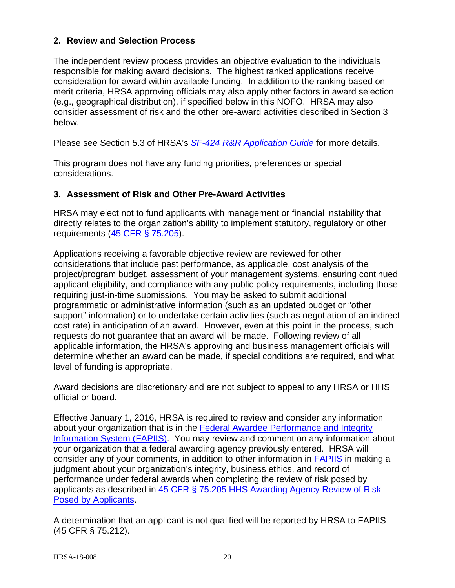#### <span id="page-23-0"></span>**2. Review and Selection Process**

The independent review process provides an objective evaluation to the individuals responsible for making award decisions. The highest ranked applications receive consideration for award within available funding. In addition to the ranking based on merit criteria, HRSA approving officials may also apply other factors in award selection (e.g., geographical distribution), if specified below in this NOFO. HRSA may also consider assessment of risk and the other pre-award activities described in Section 3 below.

Please see Section 5.3 of HRSA's *SF-424 [R&R Application Guide](http://www.hrsa.gov/grants/apply/applicationguide/sf424rrguidev2.pdf)* for more details.

This program does not have any funding priorities, preferences or special considerations.

#### <span id="page-23-1"></span>**3. Assessment of Risk and Other Pre-Award Activities**

HRSA may elect not to fund applicants with management or financial instability that directly relates to the organization's ability to implement statutory, regulatory or other requirements [\(45 CFR § 75.205\)](http://www.ecfr.gov/cgi-bin/retrieveECFR?gp=1&SID=4d52364ec83fab994c665943dadf9cf7&ty=HTML&h=L&r=PART&n=pt45.1.75#se45.1.75_1205).

Applications receiving a favorable objective review are reviewed for other considerations that include past performance, as applicable, cost analysis of the project/program budget, assessment of your management systems, ensuring continued applicant eligibility, and compliance with any public policy requirements, including those requiring just-in-time submissions. You may be asked to submit additional programmatic or administrative information (such as an updated budget or "other support" information) or to undertake certain activities (such as negotiation of an indirect cost rate) in anticipation of an award. However, even at this point in the process, such requests do not guarantee that an award will be made. Following review of all applicable information, the HRSA's approving and business management officials will determine whether an award can be made, if special conditions are required, and what level of funding is appropriate.

Award decisions are discretionary and are not subject to appeal to any HRSA or HHS official or board.

Effective January 1, 2016, HRSA is required to review and consider any information about your organization that is in the [Federal Awardee Performance and Integrity](https://www.fapiis.gov/)  [Information System \(FAPIIS\).](https://www.fapiis.gov/) You may review and comment on any information about your organization that a federal awarding agency previously entered. HRSA will consider any of your comments, in addition to other information in [FAPIIS](https://www.fapiis.gov/) in making a judgment about your organization's integrity, business ethics, and record of performance under federal awards when completing the review of risk posed by applicants as described in [45 CFR § 75.205 HHS Awarding Agency Review of Risk](http://www.ecfr.gov/cgi-bin/text-idx?node=pt45.1.75)  [Posed by Applicants.](http://www.ecfr.gov/cgi-bin/text-idx?node=pt45.1.75)

A determination that an applicant is not qualified will be reported by HRSA to FAPIIS [\(45 CFR § 75.212\)](http://www.ecfr.gov/cgi-bin/text-idx?node=pt45.1.75).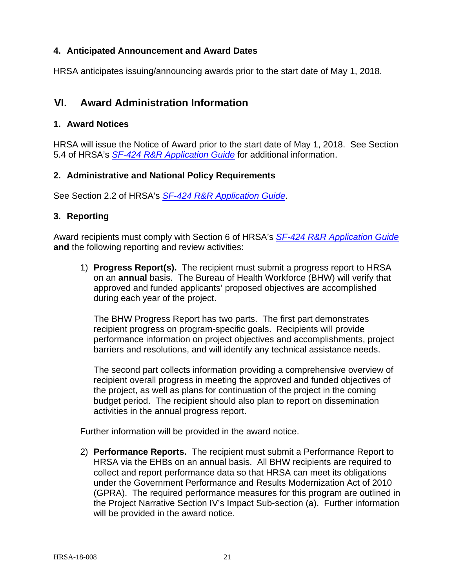#### <span id="page-24-0"></span>**4. Anticipated Announcement and Award Dates**

HRSA anticipates issuing/announcing awards prior to the start date of May 1, 2018.

## <span id="page-24-1"></span>**VI. Award Administration Information**

#### <span id="page-24-2"></span>**1. Award Notices**

HRSA will issue the Notice of Award prior to the start date of May 1, 2018. See Section 5.4 of HRSA's *SF-424 [R&R Application Guide](http://www.hrsa.gov/grants/apply/applicationguide/sf424rrguidev2.pdf)* for additional information.

#### <span id="page-24-3"></span>**2. Administrative and National Policy Requirements**

See Section 2.2 of HRSA's *SF-424 [R&R Application Guide](http://www.hrsa.gov/grants/apply/applicationguide/sf424rrguidev2.pdf)*.

#### <span id="page-24-4"></span>**3. Reporting**

Award recipients must comply with Section 6 of HRSA's *SF-424 [R&R Application Guide](http://www.hrsa.gov/grants/apply/applicationguide/sf424rrguidev2.pdf)* **and** the following reporting and review activities:

1) **Progress Report(s).** The recipient must submit a progress report to HRSA on an **annual** basis. The Bureau of Health Workforce (BHW) will verify that approved and funded applicants' proposed objectives are accomplished during each year of the project.

The BHW Progress Report has two parts. The first part demonstrates recipient progress on program-specific goals. Recipients will provide performance information on project objectives and accomplishments, project barriers and resolutions, and will identify any technical assistance needs.

The second part collects information providing a comprehensive overview of recipient overall progress in meeting the approved and funded objectives of the project, as well as plans for continuation of the project in the coming budget period. The recipient should also plan to report on dissemination activities in the annual progress report.

Further information will be provided in the award notice.

2) **Performance Reports.** The recipient must submit a Performance Report to HRSA via the EHBs on an annual basis. All BHW recipients are required to collect and report performance data so that HRSA can meet its obligations under the Government Performance and Results Modernization Act of 2010 (GPRA). The required performance measures for this program are outlined in the Project Narrative Section IV's Impact Sub-section (a). Further information will be provided in the award notice.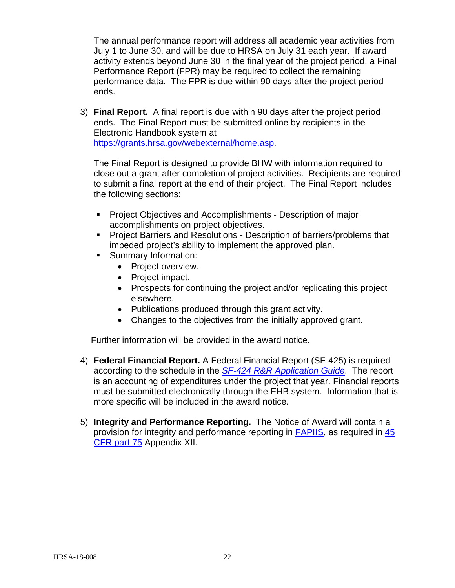The annual performance report will address all academic year activities from July 1 to June 30, and will be due to HRSA on July 31 each year. If award activity extends beyond June 30 in the final year of the project period, a Final Performance Report (FPR) may be required to collect the remaining performance data. The FPR is due within 90 days after the project period ends.

3) **Final Report.** A final report is due within 90 days after the project period ends. The Final Report must be submitted online by recipients in the Electronic Handbook system at [https://grants.hrsa.gov/webexternal/home.asp.](https://grants.hrsa.gov/webexternal/home.asp)

The Final Report is designed to provide BHW with information required to close out a grant after completion of project activities. Recipients are required to submit a final report at the end of their project. The Final Report includes the following sections:

- **Project Objectives and Accomplishments Description of major** accomplishments on project objectives.
- **Project Barriers and Resolutions Description of barriers/problems that** impeded project's ability to implement the approved plan.
- Summary Information:
	- Project overview.
	- Project impact.
	- Prospects for continuing the project and/or replicating this project elsewhere.
	- Publications produced through this grant activity.
	- Changes to the objectives from the initially approved grant.

Further information will be provided in the award notice.

- 4) **Federal Financial Report.** A Federal Financial Report (SF-425) is required according to the schedule in the *SF-424 [R&R Application Guide](http://www.hrsa.gov/grants/apply/applicationguide/sf424rrguidev2.pdf)*. The report is an accounting of expenditures under the project that year. Financial reports must be submitted electronically through the EHB system. Information that is more specific will be included in the award notice.
- 5) **Integrity and Performance Reporting.** The Notice of Award will contain a provision for integrity and performance reporting in **FAPIIS**, as required in  $\frac{45}{5}$ CFR part **75** Appendix XII.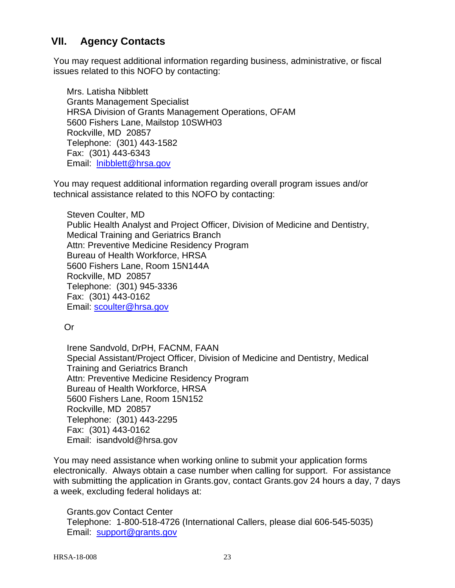## <span id="page-26-0"></span>**VII. Agency Contacts**

You may request additional information regarding business, administrative, or fiscal issues related to this NOFO by contacting:

Mrs. Latisha Nibblett Grants Management Specialist HRSA Division of Grants Management Operations, OFAM 5600 Fishers Lane, Mailstop 10SWH03 Rockville, MD 20857 Telephone: (301) 443-1582 Fax: (301) 443-6343 Email: [lnibblett@hrsa.gov](mailto:lnibblett@hrsa.gov)

You may request additional information regarding overall program issues and/or technical assistance related to this NOFO by contacting:

Steven Coulter, MD Public Health Analyst and Project Officer, Division of Medicine and Dentistry, Medical Training and Geriatrics Branch Attn: Preventive Medicine Residency Program Bureau of Health Workforce, HRSA 5600 Fishers Lane, Room 15N144A Rockville, MD 20857 Telephone: (301) 945-3336 Fax: (301) 443-0162 Email: [scoulter@hrsa.gov](mailto:scoulter@hrsa.gov)

Or

Irene Sandvold, DrPH, FACNM, FAAN Special Assistant/Project Officer, Division of Medicine and Dentistry, Medical Training and Geriatrics Branch Attn: Preventive Medicine Residency Program Bureau of Health Workforce, HRSA 5600 Fishers Lane, Room 15N152 Rockville, MD 20857 Telephone: (301) 443-2295 Fax: (301) 443-0162 Email: isandvold@hrsa.gov

You may need assistance when working online to submit your application forms electronically. Always obtain a case number when calling for support. For assistance with submitting the application in Grants.gov, contact Grants.gov 24 hours a day, 7 days a week, excluding federal holidays at:

Grants.gov Contact Center Telephone: 1-800-518-4726 (International Callers, please dial 606-545-5035) Email: [support@grants.gov](mailto:support@grants.gov)